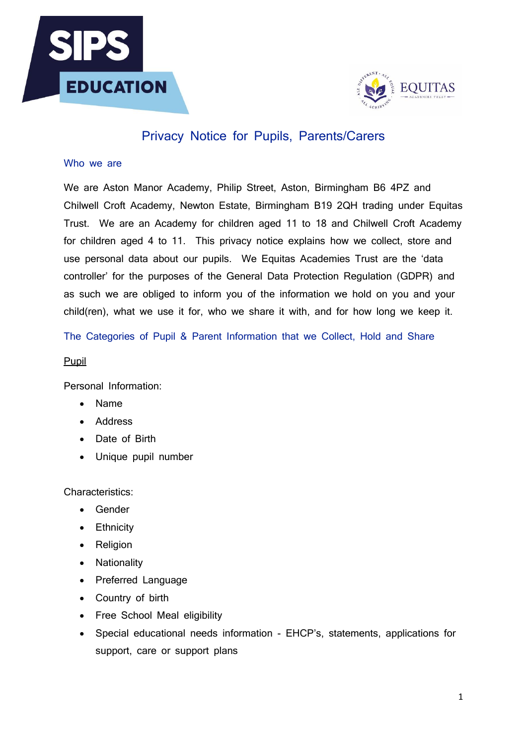



# Privacy Notice for Pupils, Parents/Carers

## Who we are

We are Aston Manor Academy, Philip Street, Aston, Birmingham B6 4PZ and Chilwell Croft Academy, Newton Estate, Birmingham B19 2QH trading under Equitas Trust. We are an Academy for children aged 11 to 18 and Chilwell Croft Academy for children aged 4 to 11. This privacy notice explains how we collect, store and use personal data about our pupils. We Equitas Academies Trust are the 'data controller' for the purposes of the General Data Protection Regulation (GDPR) and as such we are obliged to inform you of the information we hold on you and your child(ren), what we use it for, who we share it with, and for how long we keep it.

The Categories of Pupil & Parent Information that we Collect, Hold and Share

## Pupil

Personal Information:

- Name
- Address
- Date of Birth
- Unique pupil number

Characteristics:

- Gender
- Ethnicity
- Religion
- Nationality
- Preferred Language
- Country of birth
- Free School Meal eligibility
- Special educational needs information EHCP's, statements, applications for support, care or support plans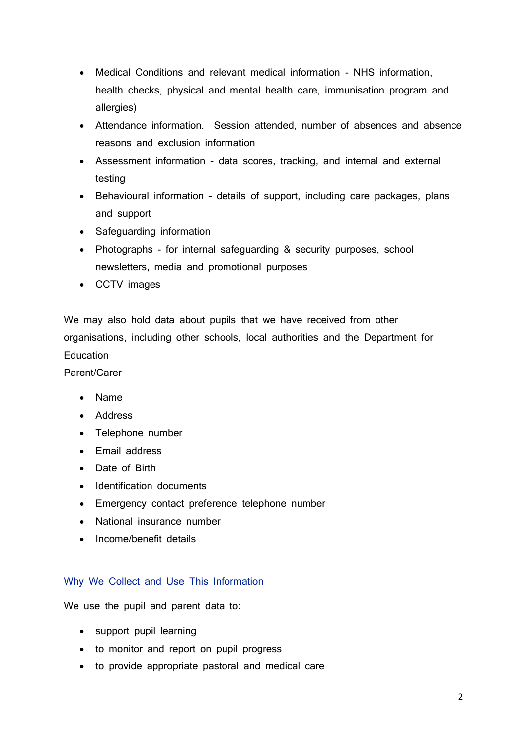- Medical Conditions and relevant medical information NHS information, health checks, physical and mental health care, immunisation program and allergies)
- Attendance information. Session attended, number of absences and absence reasons and exclusion information
- Assessment information data scores, tracking, and internal and external testing
- Behavioural information details of support, including care packages, plans and support
- Safeguarding information
- Photographs for internal safeguarding & security purposes, school newsletters, media and promotional purposes
- CCTV images

We may also hold data about pupils that we have received from other organisations, including other schools, local authorities and the Department for Education

## Parent/Carer

- Name
- Address
- Telephone number
- Email address
- Date of Birth
- Identification documents
- Emergency contact preference telephone number
- National insurance number
- Income/benefit details

# Why We Collect and Use This Information

We use the pupil and parent data to:

- support pupil learning
- to monitor and report on pupil progress
- to provide appropriate pastoral and medical care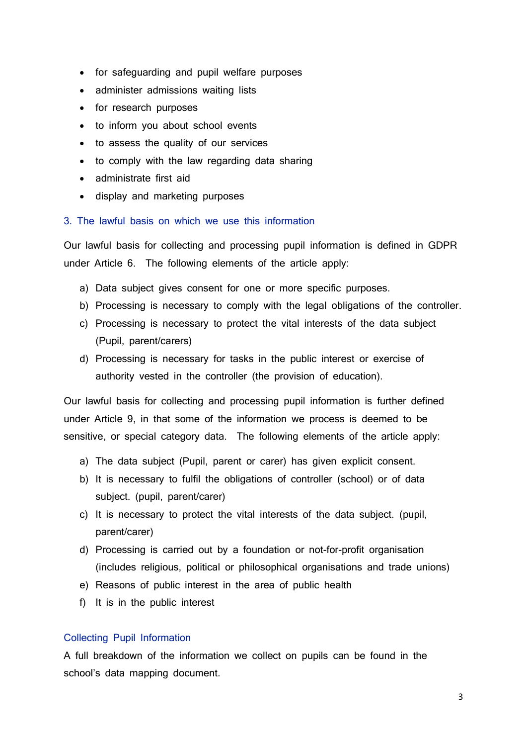- for safeguarding and pupil welfare purposes
- administer admissions waiting lists
- for research purposes
- to inform you about school events
- to assess the quality of our services
- to comply with the law regarding data sharing
- administrate first aid
- display and marketing purposes

#### 3. The lawful basis on which we use this information

Our lawful basis for collecting and processing pupil information is defined in GDPR under Article 6. The following elements of the article apply:

- a) Data subject gives consent for one or more specific purposes.
- b) Processing is necessary to comply with the legal obligations of the controller.
- c) Processing is necessary to protect the vital interests of the data subject (Pupil, parent/carers)
- d) Processing is necessary for tasks in the public interest or exercise of authority vested in the controller (the provision of education).

Our lawful basis for collecting and processing pupil information is further defined under Article 9, in that some of the information we process is deemed to be sensitive, or special category data. The following elements of the article apply:

- a) The data subject (Pupil, parent or carer) has given explicit consent.
- b) It is necessary to fulfil the obligations of controller (school) or of data subject. (pupil, parent/carer)
- c) It is necessary to protect the vital interests of the data subject. (pupil, parent/carer)
- d) Processing is carried out by a foundation or not-for-profit organisation (includes religious, political or philosophical organisations and trade unions)
- e) Reasons of public interest in the area of public health
- f) It is in the public interest

#### Collecting Pupil Information

A full breakdown of the information we collect on pupils can be found in the school's data mapping document.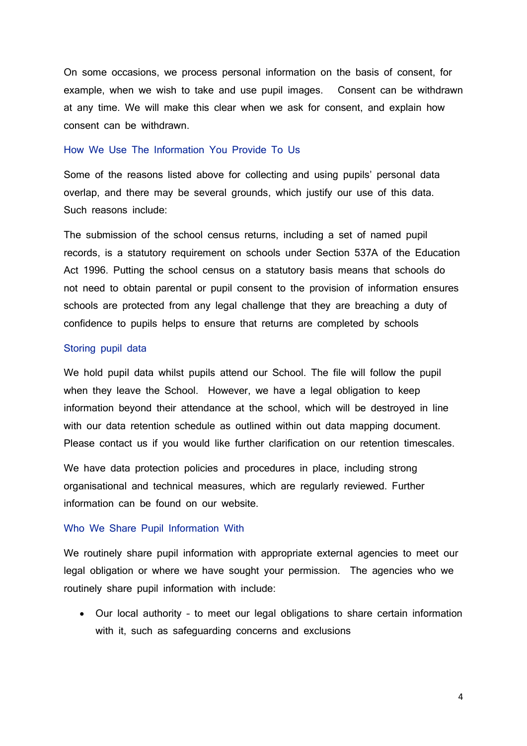On some occasions, we process personal information on the basis of consent, for example, when we wish to take and use pupil images. Consent can be withdrawn at any time. We will make this clear when we ask for consent, and explain how consent can be withdrawn.

#### How We Use The Information You Provide To Us

Some of the reasons listed above for collecting and using pupils' personal data overlap, and there may be several grounds, which justify our use of this data. Such reasons include:

The submission of the school census returns, including a set of named pupil records, is a statutory requirement on schools under Section 537A of the Education Act 1996. Putting the school census on a statutory basis means that schools do not need to obtain parental or pupil consent to the provision of information ensures schools are protected from any legal challenge that they are breaching a duty of confidence to pupils helps to ensure that returns are completed by schools

#### Storing pupil data

We hold pupil data whilst pupils attend our School. The file will follow the pupil when they leave the School. However, we have a legal obligation to keep information beyond their attendance at the school, which will be destroyed in line with our data retention schedule as outlined within out data mapping document. Please contact us if you would like further clarification on our retention timescales.

We have data protection policies and procedures in place, including strong organisational and technical measures, which are regularly reviewed. Further information can be found on our website.

## Who We Share Pupil Information With

We routinely share pupil information with appropriate external agencies to meet our legal obligation or where we have sought your permission. The agencies who we routinely share pupil information with include:

• Our local authority – to meet our legal obligations to share certain information with it, such as safeguarding concerns and exclusions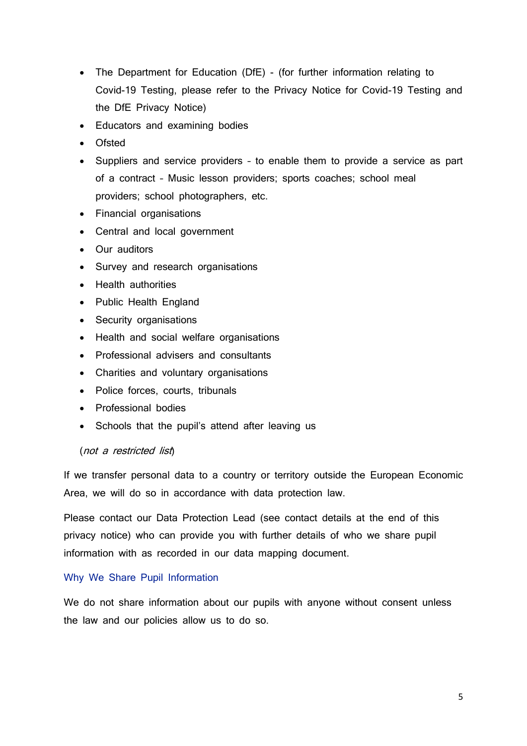- The Department for Education (DfE) (for further information relating to Covid-19 Testing, please refer to the Privacy Notice for Covid-19 Testing and the DfE Privacy Notice)
- Educators and examining bodies
- Ofsted
- Suppliers and service providers to enable them to provide a service as part of a contract – Music lesson providers; sports coaches; school meal providers; school photographers, etc.
- Financial organisations
- Central and local government
- Our auditors
- Survey and research organisations
- Health authorities
- Public Health England
- Security organisations
- Health and social welfare organisations
- Professional advisers and consultants
- Charities and voluntary organisations
- Police forces, courts, tribunals
- Professional bodies
- Schools that the pupil's attend after leaving us

#### (not a restricted list)

If we transfer personal data to a country or territory outside the European Economic Area, we will do so in accordance with data protection law.

Please contact our Data Protection Lead (see contact details at the end of this privacy notice) who can provide you with further details of who we share pupil information with as recorded in our data mapping document.

## Why We Share Pupil Information

We do not share information about our pupils with anyone without consent unless the law and our policies allow us to do so.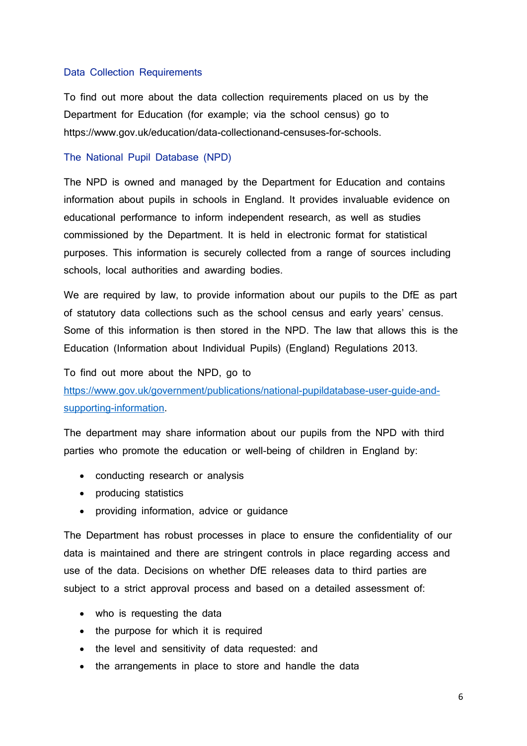#### Data Collection Requirements

To find out more about the data collection requirements placed on us by the Department for Education (for example; via the school census) go to https://www.gov.uk/education/data-collectionand-censuses-for-schools.

#### The National Pupil Database (NPD)

The NPD is owned and managed by the Department for Education and contains information about pupils in schools in England. It provides invaluable evidence on educational performance to inform independent research, as well as studies commissioned by the Department. It is held in electronic format for statistical purposes. This information is securely collected from a range of sources including schools, local authorities and awarding bodies.

We are required by law, to provide information about our pupils to the DfE as part of statutory data collections such as the school census and early years' census. Some of this information is then stored in the NPD. The law that allows this is the Education (Information about Individual Pupils) (England) Regulations 2013.

To find out more about the NPD, go to

[https://www.gov.uk/government/publications/national-pupildatabase-user-guide-and](https://www.gov.uk/government/publications/national-pupildatabase-user-guide-and-supporting-information)[supporting-information.](https://www.gov.uk/government/publications/national-pupildatabase-user-guide-and-supporting-information)

The department may share information about our pupils from the NPD with third parties who promote the education or well-being of children in England by:

- conducting research or analysis
- producing statistics
- providing information, advice or guidance

The Department has robust processes in place to ensure the confidentiality of our data is maintained and there are stringent controls in place regarding access and use of the data. Decisions on whether DfE releases data to third parties are subject to a strict approval process and based on a detailed assessment of:

- who is requesting the data
- the purpose for which it is required
- the level and sensitivity of data requested: and
- the arrangements in place to store and handle the data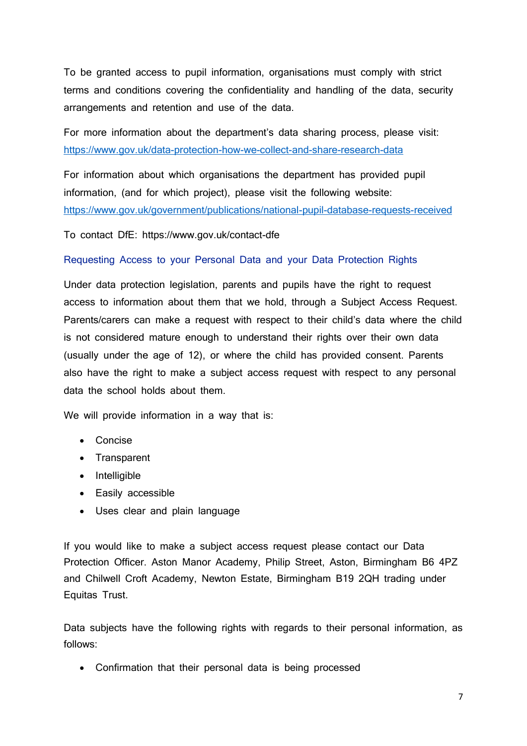To be granted access to pupil information, organisations must comply with strict terms and conditions covering the confidentiality and handling of the data, security arrangements and retention and use of the data.

For more information about the department's data sharing process, please visit: <https://www.gov.uk/data-protection-how-we-collect-and-share-research-data>

For information about which organisations the department has provided pupil information, (and for which project), please visit the following website: <https://www.gov.uk/government/publications/national-pupil-database-requests-received>

To contact DfE: https://www.gov.uk/contact-dfe

# Requesting Access to your Personal Data and your Data Protection Rights

Under data protection legislation, parents and pupils have the right to request access to information about them that we hold, through a Subject Access Request. Parents/carers can make a request with respect to their child's data where the child is not considered mature enough to understand their rights over their own data (usually under the age of 12), or where the child has provided consent. Parents also have the right to make a subject access request with respect to any personal data the school holds about them.

We will provide information in a way that is:

- Concise
- Transparent
- Intelligible
- Easily accessible
- Uses clear and plain language

If you would like to make a subject access request please contact our Data Protection Officer. Aston Manor Academy, Philip Street, Aston, Birmingham B6 4PZ and Chilwell Croft Academy, Newton Estate, Birmingham B19 2QH trading under Equitas Trust.

Data subjects have the following rights with regards to their personal information, as follows:

• Confirmation that their personal data is being processed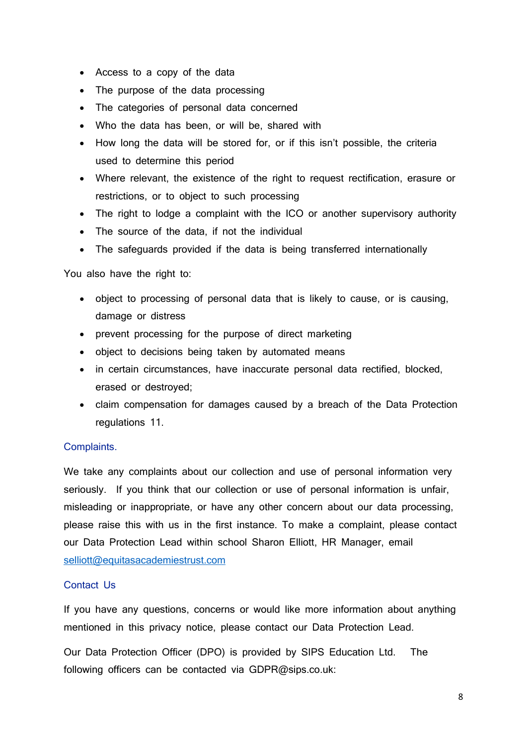- Access to a copy of the data
- The purpose of the data processing
- The categories of personal data concerned
- Who the data has been, or will be, shared with
- How long the data will be stored for, or if this isn't possible, the criteria used to determine this period
- Where relevant, the existence of the right to request rectification, erasure or restrictions, or to object to such processing
- The right to lodge a complaint with the ICO or another supervisory authority
- The source of the data, if not the individual
- The safeguards provided if the data is being transferred internationally

You also have the right to:

- object to processing of personal data that is likely to cause, or is causing, damage or distress
- prevent processing for the purpose of direct marketing
- object to decisions being taken by automated means
- in certain circumstances, have inaccurate personal data rectified, blocked, erased or destroyed;
- claim compensation for damages caused by a breach of the Data Protection regulations 11.

## Complaints.

We take any complaints about our collection and use of personal information very seriously. If you think that our collection or use of personal information is unfair, misleading or inappropriate, or have any other concern about our data processing, please raise this with us in the first instance. To make a complaint, please contact our Data Protection Lead within school Sharon Elliott, HR Manager, email [selliott@equitasacademiestrust.com](mailto:selliott@equitasacademiestrust.com)

## Contact Us

If you have any questions, concerns or would like more information about anything mentioned in this privacy notice, please contact our Data Protection Lead.

Our Data Protection Officer (DPO) is provided by SIPS Education Ltd. The following officers can be contacted via GDPR@sips.co.uk: